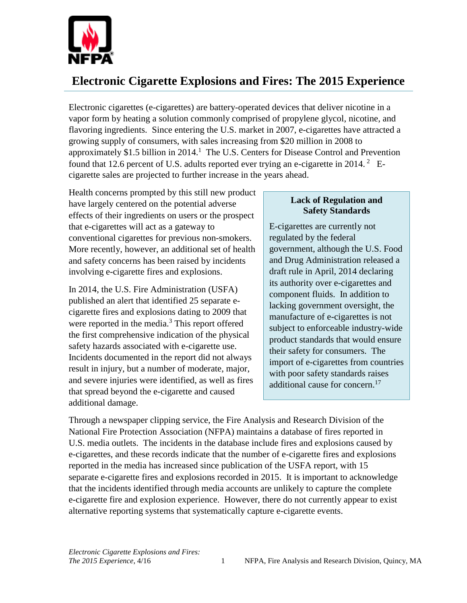

## **Electronic Cigarette Explosions and Fires: The 2015 Experience**

Electronic cigarettes (e-cigarettes) are battery-operated devices that deliver nicotine in a vapor form by heating a solution commonly comprised of propylene glycol, nicotine, and flavoring ingredients. Since entering the U.S. market in 2007, e-cigarettes have attracted a growing supply of consumers, with sales increasing from \$20 million in 2008 to approximately \$1.5 billion in 2014.<sup>1</sup> The U.S. Centers for Disease Control and Prevention found that 12.6 percent of U.S. adults reported ever trying an e-cigarette in 2014.  $^2$  Ecigarette sales are projected to further increase in the years ahead.

Health concerns prompted by this still new product have largely centered on the potential adverse effects of their ingredients on users or the prospect that e-cigarettes will act as a gateway to conventional cigarettes for previous non-smokers. More recently, however, an additional set of health and safety concerns has been raised by incidents involving e-cigarette fires and explosions.

In 2014, the U.S. Fire Administration (USFA) published an alert that identified 25 separate ecigarette fires and explosions dating to 2009 that were reported in the media.<sup>3</sup> This report offered the first comprehensive indication of the physical safety hazards associated with e-cigarette use. Incidents documented in the report did not always result in injury, but a number of moderate, major, and severe injuries were identified, as well as fires that spread beyond the e-cigarette and caused additional damage.

## **Lack of Regulation and Safety Standards**

E-cigarettes are currently not regulated by the federal government, although the U.S. Food and Drug Administration released a draft rule in April, 2014 declaring its authority over e-cigarettes and component fluids. In addition to lacking government oversight, the manufacture of e-cigarettes is not subject to enforceable industry-wide product standards that would ensure their safety for consumers. The import of e-cigarettes from countries with poor safety standards raises additional cause for concern.<sup>17</sup>

Through a newspaper clipping service, the Fire Analysis and Research Division of the National Fire Protection Association (NFPA) maintains a database of fires reported in U.S. media outlets. The incidents in the database include fires and explosions caused by e-cigarettes, and these records indicate that the number of e-cigarette fires and explosions reported in the media has increased since publication of the USFA report, with 15 separate e-cigarette fires and explosions recorded in 2015. It is important to acknowledge that the incidents identified through media accounts are unlikely to capture the complete e-cigarette fire and explosion experience. However, there do not currently appear to exist alternative reporting systems that systematically capture e-cigarette events.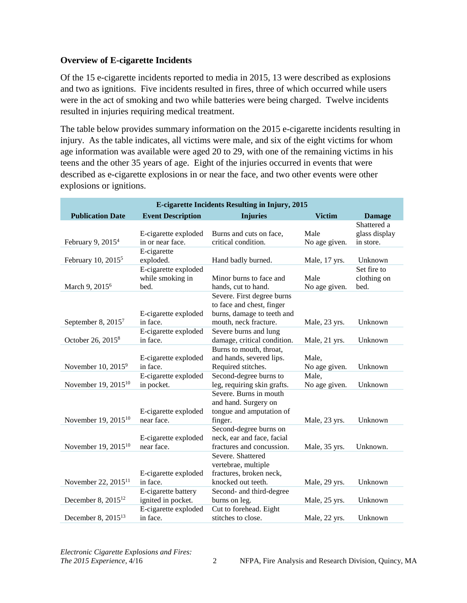## **Overview of E-cigarette Incidents**

Of the 15 e-cigarette incidents reported to media in 2015, 13 were described as explosions and two as ignitions. Five incidents resulted in fires, three of which occurred while users were in the act of smoking and two while batteries were being charged. Twelve incidents resulted in injuries requiring medical treatment.

The table below provides summary information on the 2015 e-cigarette incidents resulting in injury. As the table indicates, all victims were male, and six of the eight victims for whom age information was available were aged 20 to 29, with one of the remaining victims in his teens and the other 35 years of age. Eight of the injuries occurred in events that were described as e-cigarette explosions in or near the face, and two other events were other explosions or ignitions.

| <b>E-cigarette Incidents Resulting in Injury, 2015</b> |                                    |                                              |                        |               |  |  |  |
|--------------------------------------------------------|------------------------------------|----------------------------------------------|------------------------|---------------|--|--|--|
| <b>Publication Date</b>                                | <b>Event Description</b>           | <b>Injuries</b>                              | <b>Victim</b>          | <b>Damage</b> |  |  |  |
|                                                        |                                    |                                              |                        | Shattered a   |  |  |  |
|                                                        | E-cigarette exploded               | Burns and cuts on face,                      | Male                   | glass display |  |  |  |
| February 9, 2015 <sup>4</sup>                          | in or near face.                   | critical condition.                          | No age given.          | in store.     |  |  |  |
|                                                        | E-cigarette                        |                                              |                        |               |  |  |  |
| February 10, 2015 <sup>5</sup>                         | exploded.                          | Hand badly burned.                           | Male, 17 yrs.          | Unknown       |  |  |  |
|                                                        | E-cigarette exploded               |                                              |                        | Set fire to   |  |  |  |
|                                                        | while smoking in                   | Minor burns to face and                      | Male                   | clothing on   |  |  |  |
| March 9, 2015 <sup>6</sup>                             | bed.                               | hands, cut to hand.                          | No age given.          | bed.          |  |  |  |
|                                                        |                                    | Severe. First degree burns                   |                        |               |  |  |  |
|                                                        |                                    | to face and chest, finger                    |                        |               |  |  |  |
|                                                        | E-cigarette exploded               | burns, damage to teeth and                   |                        |               |  |  |  |
| September 8, 2015 <sup>7</sup>                         | in face.                           | mouth, neck fracture.                        | Male, 23 yrs.          | Unknown       |  |  |  |
|                                                        | E-cigarette exploded               | Severe burns and lung                        |                        |               |  |  |  |
| October 26, 2015 <sup>8</sup>                          | in face.                           | damage, critical condition.                  | Male, 21 yrs.          | Unknown       |  |  |  |
|                                                        |                                    | Burns to mouth, throat,                      |                        |               |  |  |  |
| November $10, 2015^9$                                  | E-cigarette exploded<br>in face.   | and hands, severed lips.                     | Male,                  |               |  |  |  |
|                                                        |                                    | Required stitches.<br>Second-degree burns to | No age given.<br>Male, | Unknown       |  |  |  |
| November 19, 2015 <sup>10</sup>                        | E-cigarette exploded<br>in pocket. | leg, requiring skin grafts.                  | No age given.          | Unknown       |  |  |  |
|                                                        |                                    | Severe. Burns in mouth                       |                        |               |  |  |  |
|                                                        |                                    | and hand. Surgery on                         |                        |               |  |  |  |
|                                                        | E-cigarette exploded               | tongue and amputation of                     |                        |               |  |  |  |
| November 19, 2015 <sup>10</sup>                        | near face.                         | finger.                                      | Male, 23 yrs.          | Unknown       |  |  |  |
|                                                        |                                    | Second-degree burns on                       |                        |               |  |  |  |
|                                                        | E-cigarette exploded               | neck, ear and face, facial                   |                        |               |  |  |  |
| November 19, 2015 <sup>10</sup>                        | near face.                         | fractures and concussion.                    | Male, 35 yrs.          | Unknown.      |  |  |  |
|                                                        |                                    | Severe, Shattered                            |                        |               |  |  |  |
|                                                        |                                    | vertebrae, multiple                          |                        |               |  |  |  |
|                                                        | E-cigarette exploded               | fractures, broken neck,                      |                        |               |  |  |  |
| November 22, $2015^{11}$                               | in face.                           | knocked out teeth.                           | Male, 29 yrs.          | Unknown       |  |  |  |
|                                                        | E-cigarette battery                | Second- and third-degree                     |                        |               |  |  |  |
| December 8, 2015 <sup>12</sup>                         | ignited in pocket.                 | burns on leg.                                | Male, 25 yrs.          | Unknown       |  |  |  |
|                                                        | E-cigarette exploded               | Cut to forehead. Eight                       |                        |               |  |  |  |
| December 8, 2015 <sup>13</sup>                         | in face.                           | stitches to close.                           | Male, 22 yrs.          | Unknown       |  |  |  |

*Electronic Cigarette Explosions and Fires:*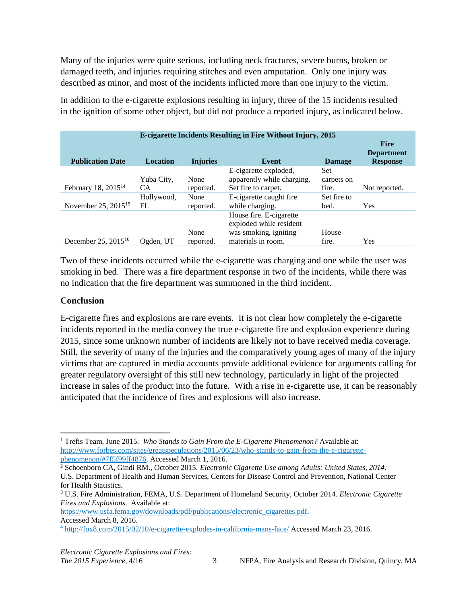Many of the injuries were quite serious, including neck fractures, severe burns, broken or damaged teeth, and injuries requiring stitches and even amputation. Only one injury was described as minor, and most of the incidents inflicted more than one injury to the victim.

In addition to the e-cigarette explosions resulting in injury, three of the 15 incidents resulted in the ignition of some other object, but did not produce a reported injury, as indicated below.

| <b>E-cigarette Incidents Resulting in Fire Without Injury, 2015</b><br><b>Fire</b><br><b>Department</b> |                   |                   |                                                                                                   |                            |                 |
|---------------------------------------------------------------------------------------------------------|-------------------|-------------------|---------------------------------------------------------------------------------------------------|----------------------------|-----------------|
| <b>Publication Date</b>                                                                                 | <b>Location</b>   | <b>Injuries</b>   | Event                                                                                             | <b>Damage</b>              | <b>Response</b> |
| February 18, 2015 <sup>14</sup>                                                                         | Yuba City,<br>CA. | None<br>reported. | E-cigarette exploded,<br>apparently while charging.<br>Set fire to carpet.                        | Set<br>carpets on<br>fire. | Not reported.   |
| November 25, $2015^{15}$                                                                                | Hollywood,<br>FL  | None<br>reported. | E-cigarette caught fire<br>while charging.                                                        | Set fire to<br>bed.        | Yes             |
| December 25, $2015^{16}$                                                                                | Ogden, UT         | None<br>reported. | House fire. E-cigarette<br>exploded while resident<br>was smoking, igniting<br>materials in room. | House<br>fire.             | Yes             |

Two of these incidents occurred while the e-cigarette was charging and one while the user was smoking in bed. There was a fire department response in two of the incidents, while there was no indication that the fire department was summoned in the third incident.

## **Conclusion**

E-cigarette fires and explosions are rare events. It is not clear how completely the e-cigarette incidents reported in the media convey the true e-cigarette fire and explosion experience during 2015, since some unknown number of incidents are likely not to have received media coverage. Still, the severity of many of the injuries and the comparatively young ages of many of the injury victims that are captured in media accounts provide additional evidence for arguments calling for greater regulatory oversight of this still new technology, particularly in light of the projected increase in sales of the product into the future. With a rise in e-cigarette use, it can be reasonably anticipated that the incidence of fires and explosions will also increase.

[https://www.usfa.fema.gov/downloads/pdf/publications/electronic\\_cigarettes.pdf.](https://www.usfa.fema.gov/downloads/pdf/publications/electronic_cigarettes.pdf)

Accessed March 8, 2016.

<sup>1</sup> Trefis Team, June 2015. *Who Stands to Gain From the E-Cigarette Phenomenon?* Available at: [http://www.forbes.com/sites/greatspeculations/2015/06/23/who-stands-to-gain-from-the-e-cigarette](http://www.forbes.com/sites/greatspeculations/2015/06/23/who-stands-to-gain-from-the-e-cigarette-phenomenon/#7f5f99ff4876)[phenomenon/#7f5f99ff4876.](http://www.forbes.com/sites/greatspeculations/2015/06/23/who-stands-to-gain-from-the-e-cigarette-phenomenon/#7f5f99ff4876) Accessed March 1, 2016. l

<sup>2</sup> Schoenborn CA, Gindi RM., October 2015. *Electronic Cigarette Use among Adults: United States, 2014*. U.S. Department of Health and Human Services, Centers for Disease Control and Prevention, National Center for Health Statistics.

<sup>3</sup> U.S. Fire Administration, FEMA, U.S. Department of Homeland Security, October 2014. *Electronic Cigarette Fires and Explosions*. Available at:

<sup>4</sup> <http://fox8.com/2015/02/10/e-cigarette-explodes-in-california-mans-face/> Accessed March 23, 2016.